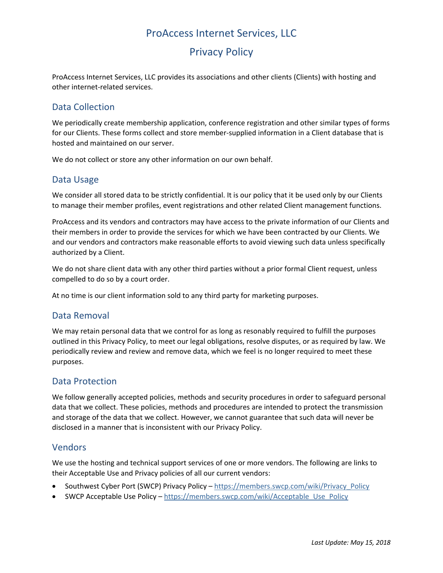# ProAccess Internet Services, LLC

# Privacy Policy

ProAccess Internet Services, LLC provides its associations and other clients (Clients) with hosting and other internet‐related services.

### Data Collection

We periodically create membership application, conference registration and other similar types of forms for our Clients. These forms collect and store member-supplied information in a Client database that is hosted and maintained on our server.

We do not collect or store any other information on our own behalf.

#### Data Usage

We consider all stored data to be strictly confidential. It is our policy that it be used only by our Clients to manage their member profiles, event registrations and other related Client management functions.

ProAccess and its vendors and contractors may have access to the private information of our Clients and their members in order to provide the services for which we have been contracted by our Clients. We and our vendors and contractors make reasonable efforts to avoid viewing such data unless specifically authorized by a Client.

We do not share client data with any other third parties without a prior formal Client request, unless compelled to do so by a court order.

At no time is our client information sold to any third party for marketing purposes.

#### Data Removal

We may retain personal data that we control for as long as resonably required to fulfill the purposes outlined in this Privacy Policy, to meet our legal obligations, resolve disputes, or as required by law. We periodically review and review and remove data, which we feel is no longer required to meet these purposes.

#### Data Protection

We follow generally accepted policies, methods and security procedures in order to safeguard personal data that we collect. These policies, methods and procedures are intended to protect the transmission and storage of the data that we collect. However, we cannot guarantee that such data will never be disclosed in a manner that is inconsistent with our Privacy Policy.

#### Vendors

We use the hosting and technical support services of one or more vendors. The following are links to their Acceptable Use and Privacy policies of all our current vendors:

- Southwest Cyber Port (SWCP) Privacy Policy https://members.swcp.com/wiki/Privacy\_Policy
- SWCP Acceptable Use Policy https://members.swcp.com/wiki/Acceptable\_Use\_Policy